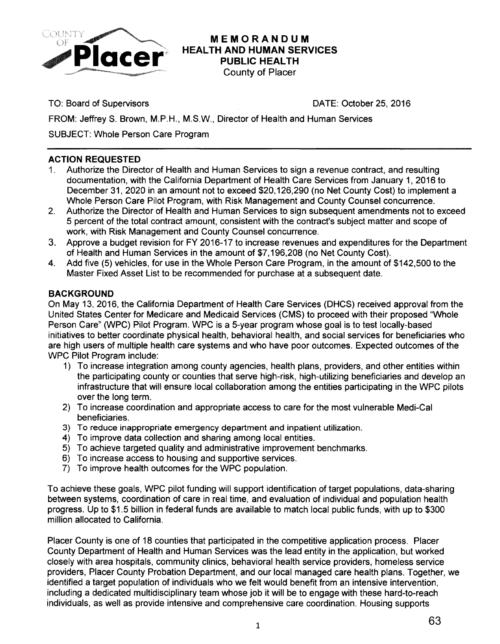

# **MEMORANDUM HEALTH AND HUMAN SERVICES PUBLIC HEALTH**

County of Placer

TO: Board of Supervisors DATE: October 25, 2016

FROM: JeffreyS. Brown, M.P.H., M.S.W., Director of Health and Human Services

SUBJECT: Whole Person Care Program

## **ACTION REQUESTED**

- 1. Authorize the Director of Health and Human Services to sign a revenue contract, and resulting documentation, with the California Department of Health Care Services from January 1, 2016 to December 31, 2020 in an amount not to exceed \$20,126,290 (no Net County Cost) to implement a Whole Person Care Pilot Program, with Risk Management and County Counsel concurrence.
- 2. Authorize the Director of Health and Human Services to sign subsequent amendments not to exceed 5 percent of the total contract amount, consistent with the contract's subject matter and scope of work, with Risk Management and County Counsel concurrence.
- 3. Approve a budget revision for FY 2016-17 to increase revenues and expenditures for the Department of Health and Human Services in the amount of \$7,196,208 (no Net County Cost).
- 4. Add five (5) vehicles, for use in the Whole Person Care Program, in the amount of \$142,500 to the Master Fixed Asset List to be recommended for purchase at a subsequent date.

## **BACKGROUND**

On May 13, 2016, the California Department of Health Care Services (DHCS) received approval from the United States Center for Medicare and Medicaid Services (CMS) to proceed with their proposed "Whole Person Care" (WPC) Pilot Program. WPC is a 5-year program whose goal is to test locally-based initiatives to better coordinate physical health, behavioral health, and social services for beneficiaries who are high users of multiple health care systems and who have poor outcomes. Expected outcomes of the WPC Pilot Program include:

- 1) To increase integration among county agencies, health plans, providers, and other entities within the participating county or counties that serve high-risk, high-utilizing beneficiaries and develop an infrastructure that will ensure local collaboration among the entities participating in the WPC pilots over the long term.
- 2) To increase coordination and appropriate access to care for the most vulnerable Medi-Cal beneficiaries.
- 3) To reduce inappropriate emergency department and inpatient utilization.
- 4) To improve data collection and sharing among local entities.
- 5) To achieve targeted quality and administrative improvement benchmarks.
- 6) To increase access to housing and supportive services.
- 7) To improve health outcomes for the WPC population.

To achieve these goals, WPC pilot funding will support identification of target populations, data-sharing between systems, coordination of care in real time, and evaluation of individual and population health progress. Up to \$1.5 billion in federal funds are available to match local public funds, with up to \$300 million allocated to California.

Placer County is one of 18 counties that participated in the competitive application process. Placer County Department of Health and Human Services was the lead entity in the application, but worked closely with area hospitals, community clinics, behavioral health service providers, homeless service providers, Placer County Probation Department, and our local managed care health plans. Together, we identified a target population of individuals who we felt would benefit from an intensive intervention, including a dedicated multidisciplinary team whose job it will be to engage with these hard-to-reach individuals, as well as provide intensive and comprehensive care coordination. Housing supports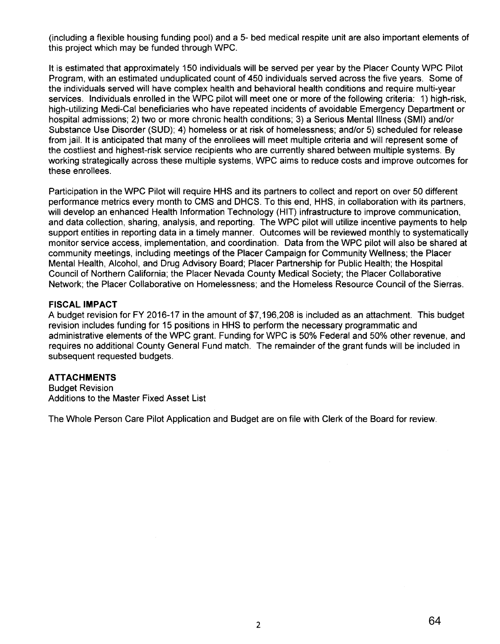(including a flexible housing funding pool) and a 5- bed medical respite unit are also important elements of this project which may be funded through WPC.

It is estimated that approximately 150 individuals will be served per year by the Placer County WPC Pilot Program, with an estimated unduplicated count of 450 individuals served across the five years. Some of the individuals served will have complex health and behavioral health conditions and require multi-year services. Individuals enrolled in the WPC pilot will meet one or more of the following criteria: 1) high-risk, high-utilizing Medi-Cal beneficiaries who have repeated incidents of avoidable Emergency Department or hospital admissions; 2) two or more chronic health conditions; 3) a Serious Mental Illness (SMI) and/or Substance Use Disorder (SUD); 4) homeless or at risk of homelessness; and/or 5) scheduled for release from jail. It is anticipated that many of the enrollees will meet multiple criteria and will represent some of the costliest and highest-risk service recipients who are currently shared between multiple systems. By working strategically across these multiple systems, WPC aims to reduce costs and improve outcomes for these enrollees.

Participation in the WPC Pilot will require HHS and its partners to collect and report on over 50 different performance metrics every month to CMS and DHCS. To this end, HHS, in collaboration with its partners, will develop an enhanced Health Information Technology (HIT) infrastructure to improve communication, and data collection, sharing, analysis, and reporting. The WPC pilot will utilize incentive payments to help support entities in reporting data in a timely manner. Outcomes will be reviewed monthly to systematically monitor service access, implementation, and coordination. Data from the WPC pilot will also be shared at community meetings, including meetings of the Placer Campaign for Community Wellness; the Placer Mental Health, Alcohol, and Drug Advisory Board; Placer Partnership for Public Health; the Hospital Council of Northern California; the Placer Nevada County Medical Society; the Placer Collaborative Network; the Placer Collaborative on Homelessness; and the Homeless Resource Council of the Sierras.

#### **FISCAL IMPACT**

A budget revision for FY 2016-17 in the amount of \$7,196,208 is included as an attachment. This budget revision includes funding for 15 positions in HHS to perform the necessary programmatic and administrative elements of the WPC grant. Funding for WPC is 50% Federal and 50% other revenue, and requires no additional County General Fund match. The remainder of the grant funds will be included in subsequent requested budgets.

#### **ATTACHMENTS**

Budget Revision Additions to the Master Fixed Asset List

The Whole Person Care Pilot Application and Budget are on file with Clerk of the Board for review.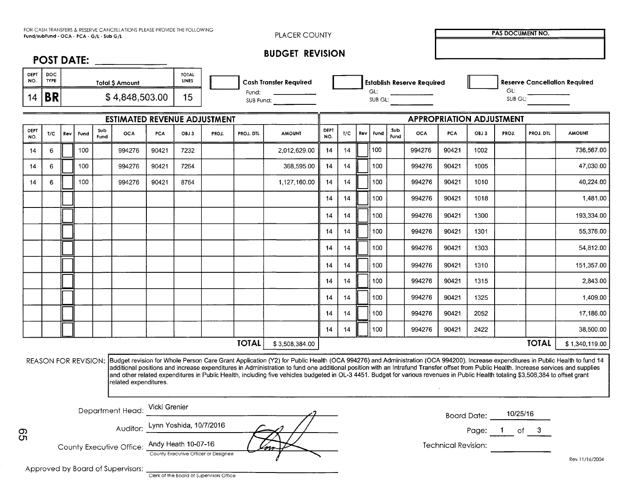| FOR CASH TRANSFERS & RESERVE CANCELLATIONS PLEASE PROVIDE THE FOLLOWING |
|-------------------------------------------------------------------------|
| Fund/subFund - OCA - PCA - G/L - Sub G/L                                |

PLACER COUNTY **IN PAS DOCUMENT NO.** 

|  | <b>BUDGET REVISION</b> |
|--|------------------------|
|--|------------------------|

|                    | ___                       |                       |                              |                               |                                     |                |
|--------------------|---------------------------|-----------------------|------------------------------|-------------------------------|-------------------------------------|----------------|
| <b>DEPT</b><br>NO. | <b>DOC</b><br><b>TYPE</b> | <b>Total S Amount</b> | <b>TOTAL</b><br><b>LINES</b> | <b>Cash Transfer Reaulred</b> | <b>1 Establish Reserve Required</b> | Reserve        |
| 14                 | <b>DD</b><br>DЛ           | 64,848,503.00<br>ሖ    | 15                           | Fund:<br>SUB Fund:            | vu.<br>SUB GL:                      | GL:<br>SUB GL: |

|                    | Fund/subFund - OCA - PCA - G/L - Sub G/L |     |      |             | FOR CASH TRANSFERS & RESERVE CANCELLATIONS PLEASE PROVIDE THE FOLLOWING |            |                              |       |              | PLACER COUNTY                                                                                                                                                                                                                                                                                                                                                                                                                                                                                                                                                                     |                    |                                   |     |      |             |                                 |            |         | <b>PAS DOCUMENT NO.</b> |                                      |                |
|--------------------|------------------------------------------|-----|------|-------------|-------------------------------------------------------------------------|------------|------------------------------|-------|--------------|-----------------------------------------------------------------------------------------------------------------------------------------------------------------------------------------------------------------------------------------------------------------------------------------------------------------------------------------------------------------------------------------------------------------------------------------------------------------------------------------------------------------------------------------------------------------------------------|--------------------|-----------------------------------|-----|------|-------------|---------------------------------|------------|---------|-------------------------|--------------------------------------|----------------|
|                    |                                          |     |      |             | POST DATE:                                                              |            |                              |       |              | <b>BUDGET REVISION</b>                                                                                                                                                                                                                                                                                                                                                                                                                                                                                                                                                            |                    |                                   |     |      |             |                                 |            |         |                         |                                      |                |
| <b>DEPT</b><br>NO. | <b>DOC</b><br><b>TYPE</b>                |     |      |             | <b>Total \$ Amount</b>                                                  |            | <b>TOTAL</b><br><b>LINES</b> |       |              | <b>Cash Transfer Required</b>                                                                                                                                                                                                                                                                                                                                                                                                                                                                                                                                                     |                    | <b>Establish Reserve Required</b> |     |      |             |                                 |            |         |                         | <b>Reserve Cancellation Required</b> |                |
| 14                 | <b>BR</b>                                |     |      |             | \$4,848,503.00                                                          |            | 15                           |       |              | Fund:<br>SUB Fund:                                                                                                                                                                                                                                                                                                                                                                                                                                                                                                                                                                | GL:<br>SUB GL:     |                                   |     |      |             |                                 | GL:        | SUB GL: |                         |                                      |                |
|                    |                                          |     |      |             | ESTIMATED REVENUE ADJUSTMENT                                            |            |                              |       |              |                                                                                                                                                                                                                                                                                                                                                                                                                                                                                                                                                                                   |                    |                                   |     |      |             | <b>APPROPRIATION ADJUSTMENT</b> |            |         |                         |                                      |                |
| DEPT<br>NO.        | T/C                                      | Rev | Fund | Sub<br>Fund | <b>OCA</b>                                                              | <b>PCA</b> | OBJ3                         | PROJ. | PROJ. DTL    | <b>AMOUNT</b>                                                                                                                                                                                                                                                                                                                                                                                                                                                                                                                                                                     | <b>DEPT</b><br>NO. | T/C                               | Rev | Fund | Sub<br>Fund | <b>OCA</b>                      | <b>PCA</b> | OBJ 3   | PROJ.                   | PROJ. DTL                            | <b>AMOUNT</b>  |
| 14                 | 6                                        |     | 100  |             | 994276                                                                  | 90421      | 7232                         |       |              | 2,012,629.00                                                                                                                                                                                                                                                                                                                                                                                                                                                                                                                                                                      | 14                 | 14                                |     | 100  |             | 994276                          | 90421      | 1002    |                         |                                      | 736,567.00     |
| 14                 | 6                                        |     | 100  |             | 994276                                                                  | 90421      | 7264                         |       |              | 368,595.00                                                                                                                                                                                                                                                                                                                                                                                                                                                                                                                                                                        | 14                 | 14                                |     | 100  |             | 994276                          | 90421      | 1005    |                         |                                      | 47,030.00      |
| 14                 | 6                                        |     | 100  |             | 994276                                                                  | 90421      | 8764                         |       |              | 1,127,160.00                                                                                                                                                                                                                                                                                                                                                                                                                                                                                                                                                                      | 14                 | 14                                |     | 100  |             | 994276                          | 90421      | 1010    |                         |                                      | 40,224.00      |
|                    |                                          |     |      |             |                                                                         |            |                              |       |              |                                                                                                                                                                                                                                                                                                                                                                                                                                                                                                                                                                                   | 14                 | 14                                |     | 100  |             | 994276                          | 90421      | 1018    |                         |                                      | 1,481.00       |
|                    |                                          |     |      |             |                                                                         |            |                              |       |              |                                                                                                                                                                                                                                                                                                                                                                                                                                                                                                                                                                                   | 14                 | 14                                |     | 100  |             | 994276                          | 90421      | 1300    |                         |                                      | 193,334.00     |
|                    |                                          |     |      |             |                                                                         |            |                              |       |              |                                                                                                                                                                                                                                                                                                                                                                                                                                                                                                                                                                                   | 14                 | 14                                |     | 100  |             | 994276                          | 90421      | 1301    |                         |                                      | 55,376.00      |
|                    |                                          |     |      |             |                                                                         |            |                              |       |              |                                                                                                                                                                                                                                                                                                                                                                                                                                                                                                                                                                                   | 14                 | 14                                |     | 100  |             | 994276                          | 90421      | 1303    |                         |                                      | 54,812.00      |
|                    |                                          |     |      |             |                                                                         |            |                              |       |              |                                                                                                                                                                                                                                                                                                                                                                                                                                                                                                                                                                                   | 14                 | 14                                |     | 100  |             | 994276                          | 90421      | 1310    |                         |                                      | 151,357.00     |
|                    |                                          |     |      |             |                                                                         |            |                              |       |              |                                                                                                                                                                                                                                                                                                                                                                                                                                                                                                                                                                                   | 14                 | 14                                |     | 100  |             | 994276                          | 90421      | 1315    |                         |                                      | 2,843.00       |
|                    |                                          |     |      |             |                                                                         |            |                              |       |              |                                                                                                                                                                                                                                                                                                                                                                                                                                                                                                                                                                                   | 14                 | 14                                |     | 100  |             | 994276                          | 90421      | 1325    |                         |                                      | 1,409.00       |
|                    |                                          |     |      |             |                                                                         |            |                              |       |              |                                                                                                                                                                                                                                                                                                                                                                                                                                                                                                                                                                                   | 14                 | 14                                |     | 100  |             | 994276                          | 90421      | 2052    |                         |                                      | 17,186.00      |
|                    |                                          |     |      |             |                                                                         |            |                              |       |              |                                                                                                                                                                                                                                                                                                                                                                                                                                                                                                                                                                                   | 14                 | 14                                |     | 100  |             | 994276                          | 90421      | 2422    |                         |                                      | 38,500.00      |
|                    |                                          |     |      |             |                                                                         |            |                              |       | <b>TOTAL</b> | \$3,508,384.00                                                                                                                                                                                                                                                                                                                                                                                                                                                                                                                                                                    |                    |                                   |     |      |             |                                 |            |         |                         | <b>TOTAL</b>                         | \$1,340,119.00 |
|                    |                                          |     |      |             | related expenditures.                                                   |            |                              |       |              | REASON FOR REVISION: Budget revision for Whole Person Care Grant Application (Y2) for Public Health (OCA 994276) and Administration (OCA 994200). Increase expenditures in Public Health to fund 14<br>additional positions and increase expenditures in Administration to fund one additional position with an Intrafund Transfer offset from Public Health. Increase services and supplies<br>and other related expenditures in Public Health, including five vehicles budgeted in OL-3 4451. Budget for various revenues in Public Health totaling \$3,508,384 to offset grant |                    |                                   |     |      |             |                                 |            |         |                         |                                      |                |
|                    |                                          |     |      |             | Department Head: Vicki Grenier                                          |            |                              |       |              |                                                                                                                                                                                                                                                                                                                                                                                                                                                                                                                                                                                   |                    |                                   |     |      |             |                                 |            |         | Board Date: 10/25/16    |                                      |                |
| တ<br>ŌП            |                                          |     |      |             | Auditor: Lynn Yoshida, 10/7/2016                                        |            |                              |       |              |                                                                                                                                                                                                                                                                                                                                                                                                                                                                                                                                                                                   |                    |                                   |     |      |             |                                 |            |         | Page: 1 of 3            |                                      |                |

| Department Head: | Vicki Grenier |
|------------------|---------------|
|                  |               |

County Executive Office: Andy Heath 10-07-16 county Executive Officer or Designee **\C>** 

Rev II /16/2004

Technical Revision:

Approved by Board of Supervisors: The Board of Supervisors Office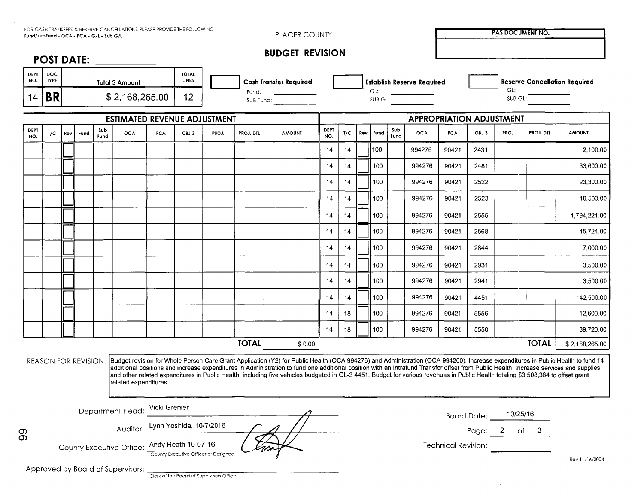|                    |                    |     |      | Fund/subFund - OCA - PCA - G/L - Sub G/L | FOR CASH TRANSFERS & RESERVE CANCELLATIONS PLEASE PROVIDE THE FOLLOWING |            |                       |       |                                   | PLACER COUNTY                                                                                                                                                                                                                                                                                                                                                                                                                                                                                                                                                                     |             |     |     |      |             |                                   |                    |      | <b>PAS DOCUMENT NO.</b> |              |                                      |
|--------------------|--------------------|-----|------|------------------------------------------|-------------------------------------------------------------------------|------------|-----------------------|-------|-----------------------------------|-----------------------------------------------------------------------------------------------------------------------------------------------------------------------------------------------------------------------------------------------------------------------------------------------------------------------------------------------------------------------------------------------------------------------------------------------------------------------------------------------------------------------------------------------------------------------------------|-------------|-----|-----|------|-------------|-----------------------------------|--------------------|------|-------------------------|--------------|--------------------------------------|
|                    |                    |     |      |                                          |                                                                         |            |                       |       |                                   | <b>BUDGET REVISION</b>                                                                                                                                                                                                                                                                                                                                                                                                                                                                                                                                                            |             |     |     |      |             |                                   |                    |      |                         |              |                                      |
|                    |                    |     |      |                                          | POST DATE:                                                              |            |                       |       |                                   |                                                                                                                                                                                                                                                                                                                                                                                                                                                                                                                                                                                   |             |     |     |      |             |                                   |                    |      |                         |              |                                      |
| <b>DEPT</b><br>NO. | DOC<br><b>TYPE</b> |     |      |                                          | <b>Total S Amount</b>                                                   |            | <b>TOTAL</b><br>LINES |       |                                   | <b>Cash Transfer Required</b>                                                                                                                                                                                                                                                                                                                                                                                                                                                                                                                                                     |             |     |     |      |             | <b>Establish Reserve Required</b> |                    |      |                         |              | <b>Reserve Cancellation Required</b> |
| 14                 | <b>BR</b>          |     |      |                                          | \$2,168,265.00                                                          |            | 12 <sup>2</sup>       |       | Fund:<br>SUB Fund: ______________ |                                                                                                                                                                                                                                                                                                                                                                                                                                                                                                                                                                                   |             |     |     | GL:  |             | SUB GL:                           |                    |      | GL:<br>SUB GL:          |              |                                      |
|                    |                    |     |      |                                          | <b>ESTIMATED REVENUE ADJUSTMENT</b>                                     |            |                       |       |                                   |                                                                                                                                                                                                                                                                                                                                                                                                                                                                                                                                                                                   |             |     |     |      |             | <b>APPROPRIATION ADJUSTMENT</b>   |                    |      |                         |              |                                      |
| DEPT<br>NO.        | T/C                | Rev | Fund | Sub<br>Fund                              | <b>OCA</b>                                                              | <b>PCA</b> | OBJ 3                 | PROJ. | PROJ. DTL                         | <b>AMOUNT</b>                                                                                                                                                                                                                                                                                                                                                                                                                                                                                                                                                                     | DEPT<br>NO. | T/C | Rev | Fund | Sub<br>Fund | <b>OCA</b>                        | PCA                | OBJ3 | PROJ.                   | PROJ. DTL    | <b>AMOUNT</b>                        |
|                    |                    |     |      |                                          |                                                                         |            |                       |       |                                   |                                                                                                                                                                                                                                                                                                                                                                                                                                                                                                                                                                                   | 14          | 14  |     | 100  |             | 994276                            | 90421              | 2431 |                         |              | 2,100.00                             |
|                    |                    |     |      |                                          |                                                                         |            |                       |       |                                   |                                                                                                                                                                                                                                                                                                                                                                                                                                                                                                                                                                                   | 14          | 14  |     | 100  |             | 994276                            | 90421              | 2481 |                         |              | 33,600.00                            |
|                    |                    |     |      |                                          |                                                                         |            |                       |       |                                   |                                                                                                                                                                                                                                                                                                                                                                                                                                                                                                                                                                                   | 14          | 14  |     | 100  |             | 994276                            | 90421              | 2522 |                         |              | 23,300.00                            |
|                    |                    |     |      |                                          |                                                                         |            |                       |       |                                   |                                                                                                                                                                                                                                                                                                                                                                                                                                                                                                                                                                                   | 14          | 14  |     | 100  |             | 994276                            | 90421              | 2523 |                         |              | 10,500.00                            |
|                    |                    |     |      |                                          |                                                                         |            |                       |       |                                   |                                                                                                                                                                                                                                                                                                                                                                                                                                                                                                                                                                                   | 14          | 14  |     | 100  |             | 994276                            | 90421              | 2555 |                         |              | 1,794,221.00                         |
|                    |                    |     |      |                                          |                                                                         |            |                       |       |                                   |                                                                                                                                                                                                                                                                                                                                                                                                                                                                                                                                                                                   | 14          | 14  |     | 100  |             | 994276                            | 90421              | 2568 |                         |              | 45,724.00                            |
|                    |                    |     |      |                                          |                                                                         |            |                       |       |                                   |                                                                                                                                                                                                                                                                                                                                                                                                                                                                                                                                                                                   | 14          | 14  |     | 100  |             | 994276                            | 90421              | 2844 |                         |              | 7,000.00                             |
|                    |                    |     |      |                                          |                                                                         |            |                       |       |                                   |                                                                                                                                                                                                                                                                                                                                                                                                                                                                                                                                                                                   | 14          | 14  |     | 100  |             | 994276                            | 90421              | 2931 |                         |              | 3,500.00                             |
|                    |                    |     |      |                                          |                                                                         |            |                       |       |                                   |                                                                                                                                                                                                                                                                                                                                                                                                                                                                                                                                                                                   | 14          | 14  |     | 100  |             | 994276                            | 90421              | 2941 |                         |              | 3,500.00                             |
|                    |                    |     |      |                                          |                                                                         |            |                       |       |                                   |                                                                                                                                                                                                                                                                                                                                                                                                                                                                                                                                                                                   | 14          | 14  |     | 100  |             | 994276                            | 90421              | 4451 |                         |              | 142,500.00                           |
|                    |                    |     |      |                                          |                                                                         |            |                       |       |                                   |                                                                                                                                                                                                                                                                                                                                                                                                                                                                                                                                                                                   | 14          | 18  |     | 100  |             | 994276                            | 90421              | 5556 |                         |              | 12,600.00                            |
|                    |                    |     |      |                                          |                                                                         |            |                       |       |                                   |                                                                                                                                                                                                                                                                                                                                                                                                                                                                                                                                                                                   | 14          | 18  |     | 100  |             | 994276                            | 90421              | 5550 |                         |              | 89,720.00                            |
|                    |                    |     |      |                                          |                                                                         |            |                       |       | <b>TOTAL</b>                      | \$0.00                                                                                                                                                                                                                                                                                                                                                                                                                                                                                                                                                                            |             |     |     |      |             |                                   |                    |      |                         | <b>TOTAL</b> | \$2,168,265.00                       |
|                    |                    |     |      |                                          | related expenditures.                                                   |            |                       |       |                                   | REASON FOR REVISION: Budget revision for Whole Person Care Grant Application (Y2) for Public Health (OCA 994276) and Administration (OCA 994200). Increase expenditures in Public Health to fund 14<br>additional positions and increase expenditures in Administration to fund one additional position with an Intrafund Transfer offset from Public Health. Increase services and supplies<br>and other related expenditures in Public Health, including five vehicles budgeted in OL-3 4451. Budget for various revenues in Public Health totaling \$3,508,384 to offset grant |             |     |     |      |             |                                   |                    |      |                         |              |                                      |
|                    |                    |     |      |                                          | Department Head: Vicki Grenier                                          |            |                       |       |                                   |                                                                                                                                                                                                                                                                                                                                                                                                                                                                                                                                                                                   |             |     |     |      |             |                                   |                    |      |                         |              |                                      |
|                    |                    |     |      |                                          | Auditor: Lynn Yoshida, 10/7/2016                                        |            |                       |       |                                   |                                                                                                                                                                                                                                                                                                                                                                                                                                                                                                                                                                                   |             |     |     |      |             |                                   | <b>Board Date:</b> |      | 10/25/16                |              |                                      |
|                    |                    |     |      |                                          | County Executive Office: Andy Heath 10-07-16                            |            |                       |       |                                   |                                                                                                                                                                                                                                                                                                                                                                                                                                                                                                                                                                                   |             |     |     |      |             |                                   |                    |      | Page: 2 of 3            |              |                                      |

Approved by Board of Supervisors:  $\frac{1}{\sqrt{1-\frac{1}{n}}\log n}$  of the Board of Supervisors Office

Rev 11/16/2004

 $\sim$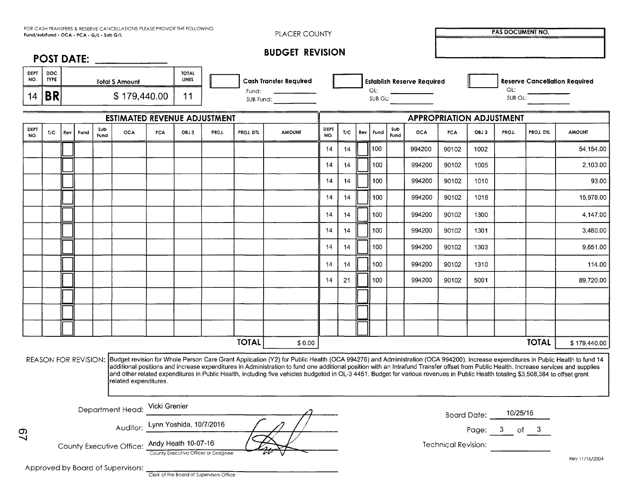|                    |                     |     |      | Fund/subFund - OCA - PCA - G/L - Sub G/L | FOR CASH TRANSFERS & RESERVE CANCELLATIONS PLEASE PROVIDE THE FOLLOWING |            |                              |       |                                    | PLACER COUNTY                                                                                                                                                                                                                                                                                                                                                                                                                                                                                                                                                                     |             |     |     |      |             |                                   |       |             | <b>PAS DOCUMENT NO.</b> |              |                                      |
|--------------------|---------------------|-----|------|------------------------------------------|-------------------------------------------------------------------------|------------|------------------------------|-------|------------------------------------|-----------------------------------------------------------------------------------------------------------------------------------------------------------------------------------------------------------------------------------------------------------------------------------------------------------------------------------------------------------------------------------------------------------------------------------------------------------------------------------------------------------------------------------------------------------------------------------|-------------|-----|-----|------|-------------|-----------------------------------|-------|-------------|-------------------------|--------------|--------------------------------------|
|                    |                     |     |      |                                          | POST DATE: ____________                                                 |            |                              |       |                                    | <b>BUDGET REVISION</b>                                                                                                                                                                                                                                                                                                                                                                                                                                                                                                                                                            |             |     |     |      |             |                                   |       |             |                         |              |                                      |
| <b>DEPT</b><br>NO. | DOC.<br><b>TYPE</b> |     |      |                                          | <b>Total \$ Amount</b>                                                  |            | <b>TOTAL</b><br><b>LINES</b> |       |                                    | <b>Cash Transfer Required</b>                                                                                                                                                                                                                                                                                                                                                                                                                                                                                                                                                     |             |     |     |      |             | <b>Establish Reserve Required</b> |       |             |                         |              | <b>Reserve Cancellation Required</b> |
| 14                 | <b>BR</b>           |     |      |                                          | \$179,440.00                                                            |            | 11                           |       | Fund:<br>SUB Fund: _______________ |                                                                                                                                                                                                                                                                                                                                                                                                                                                                                                                                                                                   |             |     |     | GL:  |             | SUB GL:                           |       |             | GL:<br>SUB GL:          |              |                                      |
|                    |                     |     |      |                                          | <b>ESTIMATED REVENUE ADJUSTMENT</b>                                     |            |                              |       |                                    |                                                                                                                                                                                                                                                                                                                                                                                                                                                                                                                                                                                   |             |     |     |      |             | <b>APPROPRIATION ADJUSTMENT</b>   |       |             |                         |              |                                      |
| <b>DEPT</b><br>NO. | T/C                 | Rev | Fund | Sub<br>Fund                              | <b>OCA</b>                                                              | <b>PCA</b> | OBJ3                         | PROJ. | PROJ. DTL                          | <b>AMOUNT</b>                                                                                                                                                                                                                                                                                                                                                                                                                                                                                                                                                                     | DEPT<br>NO. | T/C | Rev | Fund | Sub<br>Fund | OCA                               | PCA   | OBJ 3       | PROJ.                   | PROJ. DTL    | <b>AMOUNT</b>                        |
|                    |                     |     |      |                                          |                                                                         |            |                              |       |                                    |                                                                                                                                                                                                                                                                                                                                                                                                                                                                                                                                                                                   | 14          | 14  |     | 100  |             | 994200                            | 90102 | 1002        |                         |              | 54,154.00                            |
|                    |                     |     |      |                                          |                                                                         |            |                              |       |                                    |                                                                                                                                                                                                                                                                                                                                                                                                                                                                                                                                                                                   | 14          | 14  |     | 100  |             | 994200                            | 90102 | 1005        |                         |              | 2,103.00                             |
|                    |                     |     |      |                                          |                                                                         |            |                              |       |                                    |                                                                                                                                                                                                                                                                                                                                                                                                                                                                                                                                                                                   | 14          | 14  |     | 100  |             | 994200                            | 90102 | 1010        |                         |              | 93.00                                |
|                    |                     |     |      |                                          |                                                                         |            |                              |       |                                    |                                                                                                                                                                                                                                                                                                                                                                                                                                                                                                                                                                                   | 14          | 14  |     | 100  |             | 994200                            | 90102 | 1018        |                         |              | 15,978.00                            |
|                    |                     |     |      |                                          |                                                                         |            |                              |       |                                    |                                                                                                                                                                                                                                                                                                                                                                                                                                                                                                                                                                                   | 14          | 14  |     | 100  |             | 994200                            | 90102 | 1300        |                         |              | 4,147.00                             |
|                    |                     |     |      |                                          |                                                                         |            |                              |       |                                    |                                                                                                                                                                                                                                                                                                                                                                                                                                                                                                                                                                                   | 14          | 14  |     | 100  |             | 994200                            | 90102 | 1301        |                         |              | 3,480.00                             |
|                    |                     |     |      |                                          |                                                                         |            |                              |       |                                    |                                                                                                                                                                                                                                                                                                                                                                                                                                                                                                                                                                                   | 14          | 14  |     | 100  |             | 994200                            | 90102 | 1303        |                         |              | 9,651.00                             |
|                    |                     |     |      |                                          |                                                                         |            |                              |       |                                    |                                                                                                                                                                                                                                                                                                                                                                                                                                                                                                                                                                                   | 14          | 14  |     | 100  |             | 994200                            | 90102 | 1310        |                         |              | 114.00                               |
|                    |                     |     |      |                                          |                                                                         |            |                              |       |                                    |                                                                                                                                                                                                                                                                                                                                                                                                                                                                                                                                                                                   | 14          | 21  |     | 100  |             | 994200                            | 90102 | 5001        |                         |              | 89,720.00                            |
|                    |                     |     |      |                                          |                                                                         |            |                              |       |                                    |                                                                                                                                                                                                                                                                                                                                                                                                                                                                                                                                                                                   |             |     |     |      |             |                                   |       |             |                         |              |                                      |
|                    |                     |     |      |                                          |                                                                         |            |                              |       |                                    |                                                                                                                                                                                                                                                                                                                                                                                                                                                                                                                                                                                   |             |     |     |      |             |                                   |       |             |                         |              |                                      |
|                    |                     |     |      |                                          |                                                                         |            |                              |       |                                    |                                                                                                                                                                                                                                                                                                                                                                                                                                                                                                                                                                                   |             |     |     |      |             |                                   |       |             |                         |              |                                      |
|                    |                     |     |      |                                          |                                                                         |            |                              |       | <b>TOTAL</b>                       | \$0.00                                                                                                                                                                                                                                                                                                                                                                                                                                                                                                                                                                            |             |     |     |      |             |                                   |       |             |                         | <b>TOTAL</b> | \$179,440.00                         |
|                    |                     |     |      |                                          | related expenditures.                                                   |            |                              |       |                                    | REASON FOR REVISION: Budget revision for Whole Person Care Grant Application (Y2) for Public Health (OCA 994276) and Administration (OCA 994200). Increase expenditures in Public Health to fund 14<br>additional positions and increase expenditures in Administration to fund one additional position with an Intrafund Transfer offset from Public Health. Increase services and supplies<br>and other related expenditures in Public Health, including five vehicles budgeted in OL-3 4451. Budget for various revenues in Public Health totaling \$3,508,384 to offset grant |             |     |     |      |             |                                   |       |             |                         |              |                                      |
|                    |                     |     |      |                                          | Department Head: Vicki Grenier                                          |            |                              |       |                                    |                                                                                                                                                                                                                                                                                                                                                                                                                                                                                                                                                                                   |             |     |     |      |             |                                   |       | Board Date: | 10/25/16                |              |                                      |
|                    |                     |     |      |                                          | Auditor: Lynn Yoshida, 10/7/2016                                        |            |                              |       |                                    |                                                                                                                                                                                                                                                                                                                                                                                                                                                                                                                                                                                   |             |     |     |      |             |                                   |       |             | Page: 3 of 3            |              |                                      |

| Department Head: <sup>Vicki Grenier</sup> |                                      |  |
|-------------------------------------------|--------------------------------------|--|
|                                           | Auditor: Lynn Yoshida, 10/7/2016     |  |
| County Executive Office: 4                | Andy Heath 10-07-16                  |  |
|                                           | County Executive Officer or Designee |  |

| <b>Board Date:</b> | 10/25/16 |    |   |  |  |  |  |
|--------------------|----------|----|---|--|--|--|--|
| Page:              | 3        | Ωf | З |  |  |  |  |

Technical Revision:

Approved by Board of Supervisors: The Board of Supervisors Office

Rev 11/16/2004